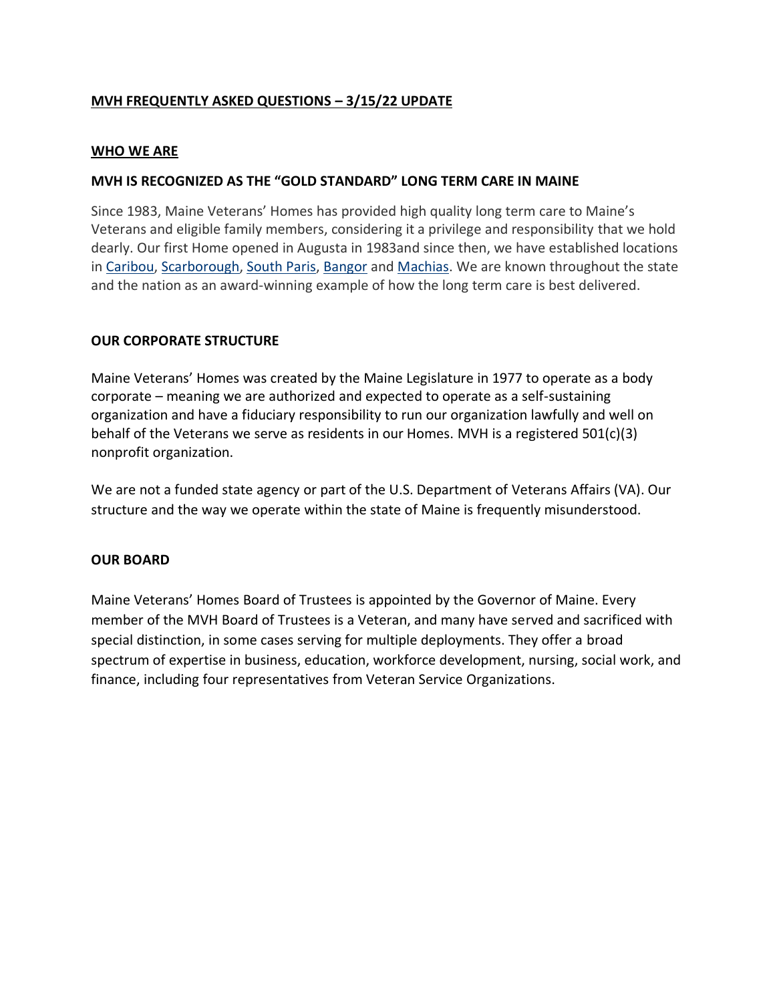# **MVH FREQUENTLY ASKED QUESTIONS – 3/15/22 UPDATE**

### **WHO WE ARE**

### **MVH IS RECOGNIZED AS THE "GOLD STANDARD" LONG TERM CARE IN MAINE**

Since 1983, Maine Veterans' Homes has provided high quality long term care to Maine's Veterans and eligible family members, considering it a privilege and responsibility that we hold dearly. Our first Home opened in Augusta in 1983and since then, we have established locations in [Caribou,](https://mainevets.org/locations/caribou/) [Scarborough,](https://mainevets.org/locations/scarborough/) [South Paris,](https://mainevets.org/locations/south-paris/) [Bangor](https://mainevets.org/locations/bangor/) and [Machias.](https://mainevets.org/locations/machias/) We are known throughout the state and the nation as an award-winning example of how the long term care is best delivered.

### **OUR CORPORATE STRUCTURE**

Maine Veterans' Homes was created by the Maine Legislature in 1977 to operate as a body corporate – meaning we are authorized and expected to operate as a self-sustaining organization and have a fiduciary responsibility to run our organization lawfully and well on behalf of the Veterans we serve as residents in our Homes. MVH is a registered 501(c)(3) nonprofit organization.

We are not a funded state agency or part of the U.S. Department of Veterans Affairs (VA). Our structure and the way we operate within the state of Maine is frequently misunderstood.

#### **OUR BOARD**

Maine Veterans' Homes Board of Trustees is appointed by the Governor of Maine. Every member of the MVH Board of Trustees is a Veteran, and many have served and sacrificed with special distinction, in some cases serving for multiple deployments. They offer a broad spectrum of expertise in business, education, workforce development, nursing, social work, and finance, including four representatives from Veteran Service Organizations.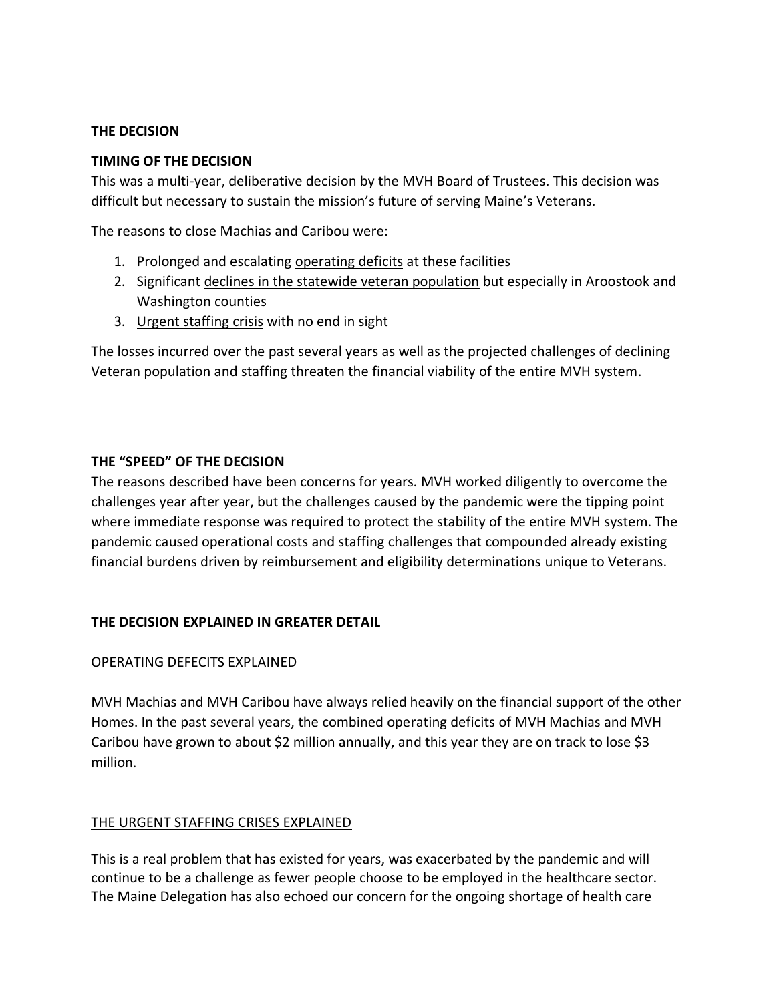### **THE DECISION**

### **TIMING OF THE DECISION**

This was a multi-year, deliberative decision by the MVH Board of Trustees. This decision was difficult but necessary to sustain the mission's future of serving Maine's Veterans.

The reasons to close Machias and Caribou were:

- 1. Prolonged and escalating operating deficits at these facilities
- 2. Significant declines in the statewide veteran population but especially in Aroostook and Washington counties
- 3. Urgent staffing crisis with no end in sight

The losses incurred over the past several years as well as the projected challenges of declining Veteran population and staffing threaten the financial viability of the entire MVH system.

# **THE "SPEED" OF THE DECISION**

The reasons described have been concerns for years. MVH worked diligently to overcome the challenges year after year, but the challenges caused by the pandemic were the tipping point where immediate response was required to protect the stability of the entire MVH system. The pandemic caused operational costs and staffing challenges that compounded already existing financial burdens driven by reimbursement and eligibility determinations unique to Veterans.

# **THE DECISION EXPLAINED IN GREATER DETAIL**

# OPERATING DEFECITS EXPLAINED

MVH Machias and MVH Caribou have always relied heavily on the financial support of the other Homes. In the past several years, the combined operating deficits of MVH Machias and MVH Caribou have grown to about \$2 million annually, and this year they are on track to lose \$3 million.

# THE URGENT STAFFING CRISES EXPLAINED

This is a real problem that has existed for years, was exacerbated by the pandemic and will continue to be a challenge as fewer people choose to be employed in the healthcare sector. The Maine Delegation has also echoed our concern for the ongoing shortage of health care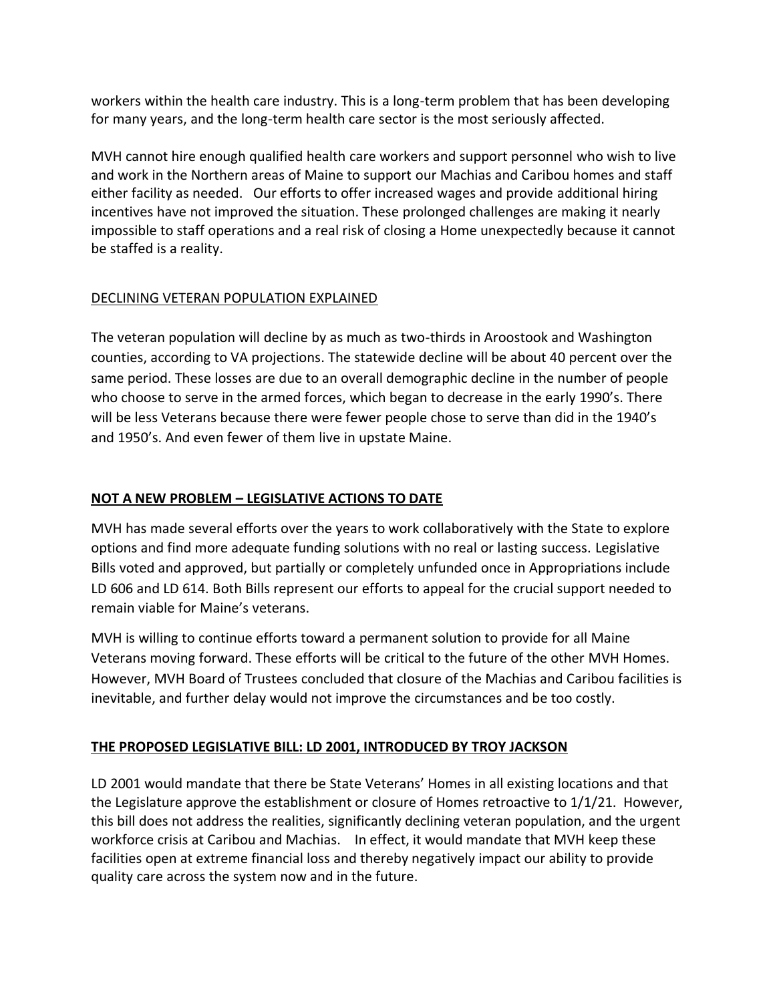workers within the health care industry. This is a long-term problem that has been developing for many years, and the long-term health care sector is the most seriously affected.

MVH cannot hire enough qualified health care workers and support personnel who wish to live and work in the Northern areas of Maine to support our Machias and Caribou homes and staff either facility as needed. Our efforts to offer increased wages and provide additional hiring incentives have not improved the situation. These prolonged challenges are making it nearly impossible to staff operations and a real risk of closing a Home unexpectedly because it cannot be staffed is a reality.

# DECLINING VETERAN POPULATION EXPLAINED

The veteran population will decline by as much as two-thirds in Aroostook and Washington counties, according to VA projections. The statewide decline will be about 40 percent over the same period. These losses are due to an overall demographic decline in the number of people who choose to serve in the armed forces, which began to decrease in the early 1990's. There will be less Veterans because there were fewer people chose to serve than did in the 1940's and 1950's. And even fewer of them live in upstate Maine.

# **NOT A NEW PROBLEM – LEGISLATIVE ACTIONS TO DATE**

MVH has made several efforts over the years to work collaboratively with the State to explore options and find more adequate funding solutions with no real or lasting success. Legislative Bills voted and approved, but partially or completely unfunded once in Appropriations include LD 606 and LD 614. Both Bills represent our efforts to appeal for the crucial support needed to remain viable for Maine's veterans.

MVH is willing to continue efforts toward a permanent solution to provide for all Maine Veterans moving forward. These efforts will be critical to the future of the other MVH Homes. However, MVH Board of Trustees concluded that closure of the Machias and Caribou facilities is inevitable, and further delay would not improve the circumstances and be too costly.

# **THE PROPOSED LEGISLATIVE BILL: LD 2001, INTRODUCED BY TROY JACKSON**

LD 2001 would mandate that there be State Veterans' Homes in all existing locations and that the Legislature approve the establishment or closure of Homes retroactive to 1/1/21. However, this bill does not address the realities, significantly declining veteran population, and the urgent workforce crisis at Caribou and Machias. In effect, it would mandate that MVH keep these facilities open at extreme financial loss and thereby negatively impact our ability to provide quality care across the system now and in the future.